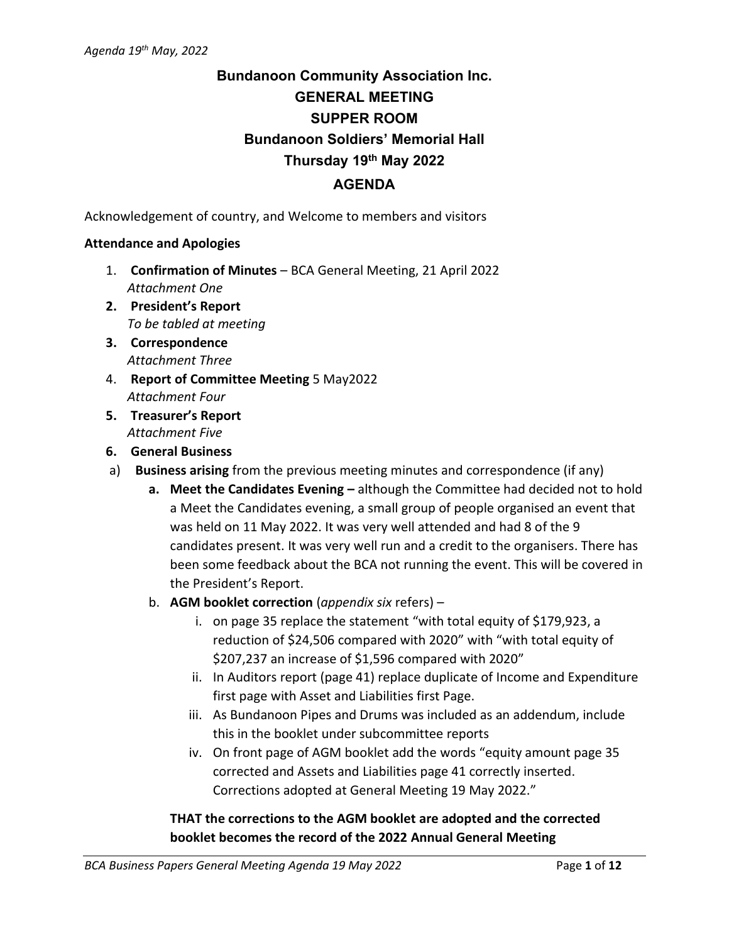# **Bundanoon Community Association Inc. GENERAL MEETING SUPPER ROOM Bundanoon Soldiers' Memorial Hall Thursday 19th May 2022 AGENDA**

Acknowledgement of country, and Welcome to members and visitors

#### **Attendance and Apologies**

- 1. **Confirmation of Minutes** BCA General Meeting, 21 April 2022 *Attachment One*
- **2. President's Report** *To be tabled at meeting*
- **3. Correspondence** *Attachment Three*
- 4. **Report of Committee Meeting** 5 May2022 *Attachment Four*
- **5. Treasurer's Report** *Attachment Five*
- **6. General Business**
- a) **Business arising** from the previous meeting minutes and correspondence (if any)
	- **a. Meet the Candidates Evening –** although the Committee had decided not to hold a Meet the Candidates evening, a small group of people organised an event that was held on 11 May 2022. It was very well attended and had 8 of the 9 candidates present. It was very well run and a credit to the organisers. There has been some feedback about the BCA not running the event. This will be covered in the President's Report.
	- b. **AGM booklet correction** (*appendix six* refers)
		- i. on page 35 replace the statement "with total equity of \$179,923, a reduction of \$24,506 compared with 2020" with "with total equity of \$207,237 an increase of \$1,596 compared with 2020"
		- ii. In Auditors report (page 41) replace duplicate of Income and Expenditure first page with Asset and Liabilities first Page.
		- iii. As Bundanoon Pipes and Drums was included as an addendum, include this in the booklet under subcommittee reports
		- iv. On front page of AGM booklet add the words "equity amount page 35 corrected and Assets and Liabilities page 41 correctly inserted. Corrections adopted at General Meeting 19 May 2022."

# **THAT the corrections to the AGM booklet are adopted and the corrected booklet becomes the record of the 2022 Annual General Meeting**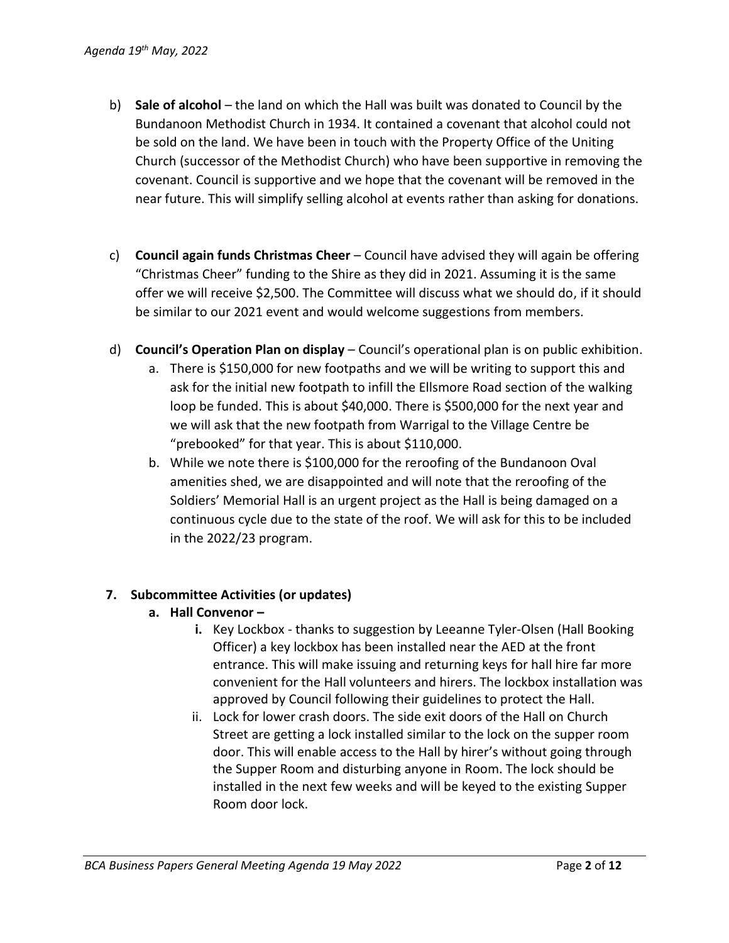- b) **Sale of alcohol** the land on which the Hall was built was donated to Council by the Bundanoon Methodist Church in 1934. It contained a covenant that alcohol could not be sold on the land. We have been in touch with the Property Office of the Uniting Church (successor of the Methodist Church) who have been supportive in removing the covenant. Council is supportive and we hope that the covenant will be removed in the near future. This will simplify selling alcohol at events rather than asking for donations.
- c) **Council again funds Christmas Cheer** Council have advised they will again be offering "Christmas Cheer" funding to the Shire as they did in 2021. Assuming it is the same offer we will receive \$2,500. The Committee will discuss what we should do, if it should be similar to our 2021 event and would welcome suggestions from members.
- d) **Council's Operation Plan on display** Council's operational plan is on public exhibition.
	- a. There is \$150,000 for new footpaths and we will be writing to support this and ask for the initial new footpath to infill the Ellsmore Road section of the walking loop be funded. This is about \$40,000. There is \$500,000 for the next year and we will ask that the new footpath from Warrigal to the Village Centre be "prebooked" for that year. This is about \$110,000.
	- b. While we note there is \$100,000 for the reroofing of the Bundanoon Oval amenities shed, we are disappointed and will note that the reroofing of the Soldiers' Memorial Hall is an urgent project as the Hall is being damaged on a continuous cycle due to the state of the roof. We will ask for this to be included in the 2022/23 program.

## **7. Subcommittee Activities (or updates)**

- **a. Hall Convenor –**
	- **i.** Key Lockbox thanks to suggestion by Leeanne Tyler-Olsen (Hall Booking Officer) a key lockbox has been installed near the AED at the front entrance. This will make issuing and returning keys for hall hire far more convenient for the Hall volunteers and hirers. The lockbox installation was approved by Council following their guidelines to protect the Hall.
	- ii. Lock for lower crash doors. The side exit doors of the Hall on Church Street are getting a lock installed similar to the lock on the supper room door. This will enable access to the Hall by hirer's without going through the Supper Room and disturbing anyone in Room. The lock should be installed in the next few weeks and will be keyed to the existing Supper Room door lock.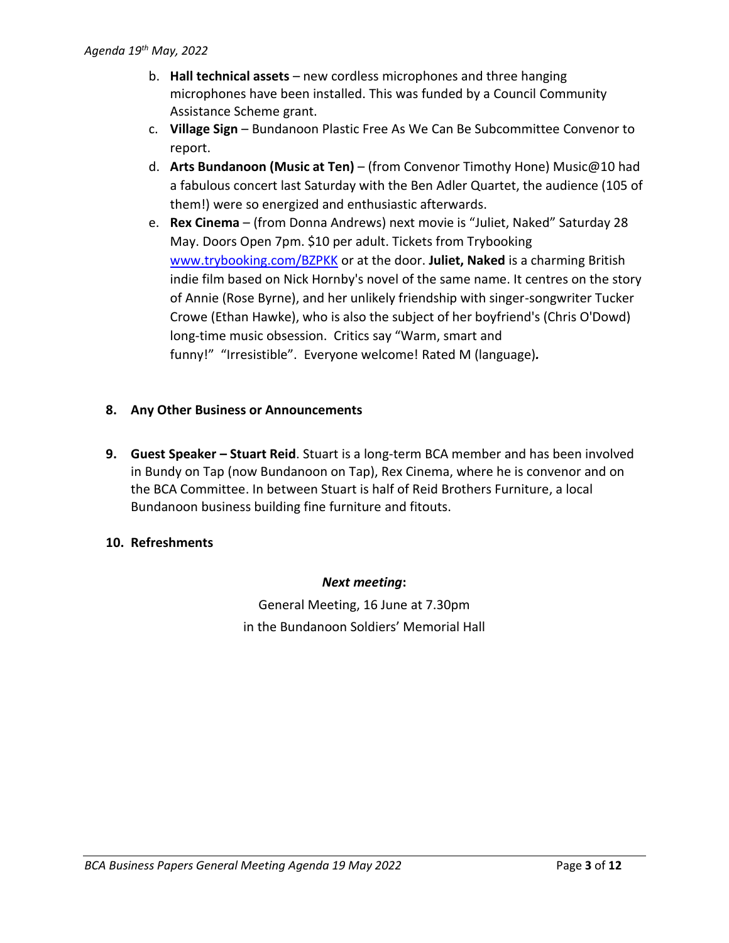- b. **Hall technical assets** new cordless microphones and three hanging microphones have been installed. This was funded by a Council Community Assistance Scheme grant.
- c. **Village Sign** Bundanoon Plastic Free As We Can Be Subcommittee Convenor to report.
- d. **Arts Bundanoon (Music at Ten)** (from Convenor Timothy Hone) Music@10 had a fabulous concert last Saturday with the Ben Adler Quartet, the audience (105 of them!) were so energized and enthusiastic afterwards.
- e. **Rex Cinema** (from Donna Andrews) next movie is "Juliet, Naked" Saturday 28 May. Doors Open 7pm. \$10 per adult. Tickets from Trybooking [www.trybooking.com/BZPKK](http://www.trybooking.com/BZPKK) or at the door. **Juliet, Naked** is a charming British indie film based on Nick Hornby's novel of the same name. It centres on the story of Annie (Rose Byrne), and her unlikely friendship with singer-songwriter Tucker Crowe (Ethan Hawke), who is also the subject of her boyfriend's (Chris O'Dowd) long-time music obsession. Critics say "Warm, smart and funny!" "Irresistible". Everyone welcome! Rated M (language)*.*

## **8. Any Other Business or Announcements**

**9. Guest Speaker – Stuart Reid**. Stuart is a long-term BCA member and has been involved in Bundy on Tap (now Bundanoon on Tap), Rex Cinema, where he is convenor and on the BCA Committee. In between Stuart is half of Reid Brothers Furniture, a local Bundanoon business building fine furniture and fitouts.

## **10. Refreshments**

## *Next meeting***:**

General Meeting, 16 June at 7.30pm in the Bundanoon Soldiers' Memorial Hall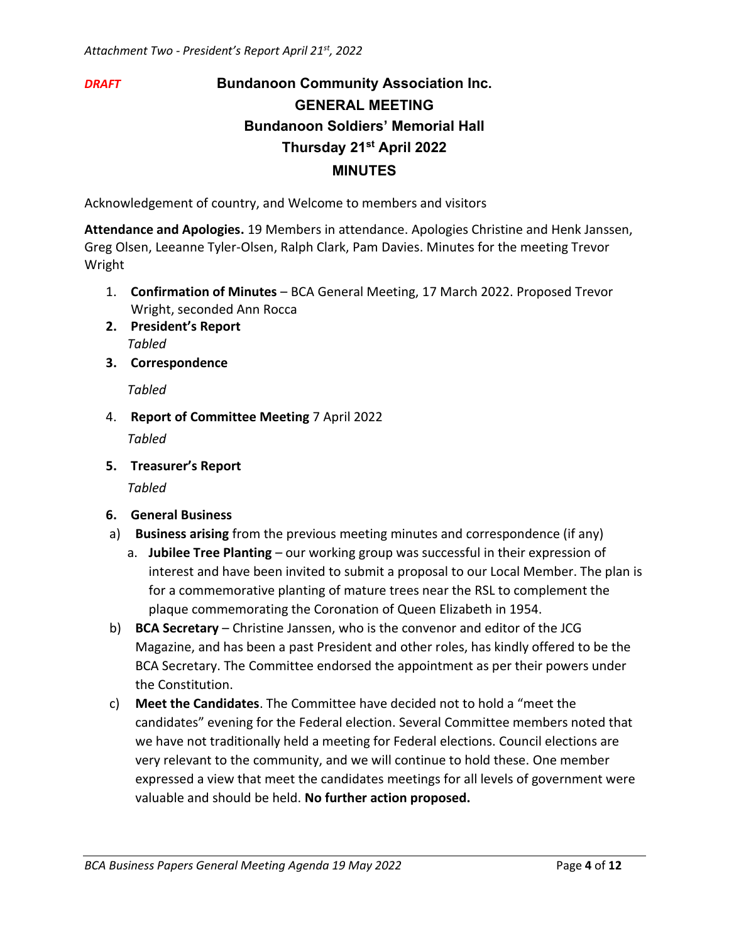# *DRAFT* **Bundanoon Community Association Inc. GENERAL MEETING Bundanoon Soldiers' Memorial Hall Thursday 21st April 2022 MINUTES**

Acknowledgement of country, and Welcome to members and visitors

**Attendance and Apologies.** 19 Members in attendance. Apologies Christine and Henk Janssen, Greg Olsen, Leeanne Tyler-Olsen, Ralph Clark, Pam Davies. Minutes for the meeting Trevor Wright

- 1. **Confirmation of Minutes** BCA General Meeting, 17 March 2022. Proposed Trevor Wright, seconded Ann Rocca
- **2. President's Report** *Tabled*
- **3. Correspondence**

*Tabled*

4. **Report of Committee Meeting** 7 April 2022

*Tabled*

**5. Treasurer's Report**

*Tabled*

- **6. General Business**
- a) **Business arising** from the previous meeting minutes and correspondence (if any)
	- a. **Jubilee Tree Planting** our working group was successful in their expression of interest and have been invited to submit a proposal to our Local Member. The plan is for a commemorative planting of mature trees near the RSL to complement the plaque commemorating the Coronation of Queen Elizabeth in 1954.
- b) **BCA Secretary** Christine Janssen, who is the convenor and editor of the JCG Magazine, and has been a past President and other roles, has kindly offered to be the BCA Secretary. The Committee endorsed the appointment as per their powers under the Constitution.
- c) **Meet the Candidates**. The Committee have decided not to hold a "meet the candidates" evening for the Federal election. Several Committee members noted that we have not traditionally held a meeting for Federal elections. Council elections are very relevant to the community, and we will continue to hold these. One member expressed a view that meet the candidates meetings for all levels of government were valuable and should be held. **No further action proposed.**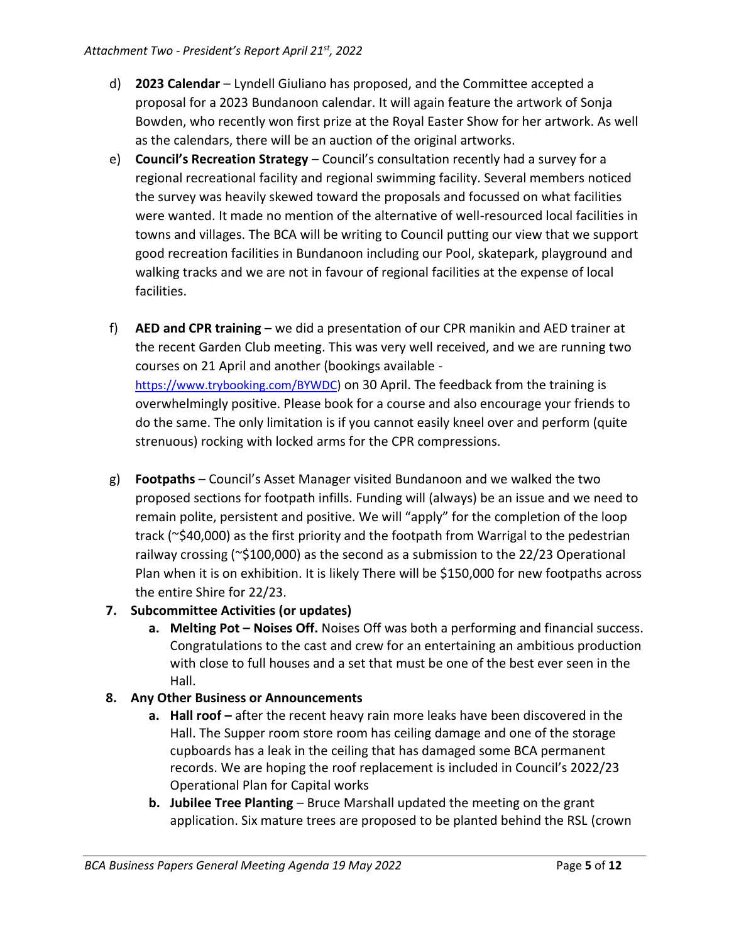- d) **2023 Calendar** Lyndell Giuliano has proposed, and the Committee accepted a proposal for a 2023 Bundanoon calendar. It will again feature the artwork of Sonja Bowden, who recently won first prize at the Royal Easter Show for her artwork. As well as the calendars, there will be an auction of the original artworks.
- e) **Council's Recreation Strategy** Council's consultation recently had a survey for a regional recreational facility and regional swimming facility. Several members noticed the survey was heavily skewed toward the proposals and focussed on what facilities were wanted. It made no mention of the alternative of well-resourced local facilities in towns and villages. The BCA will be writing to Council putting our view that we support good recreation facilities in Bundanoon including our Pool, skatepark, playground and walking tracks and we are not in favour of regional facilities at the expense of local facilities.
- f) **AED and CPR training** we did a presentation of our CPR manikin and AED trainer at the recent Garden Club meeting. This was very well received, and we are running two courses on 21 April and another (bookings available [https://www.trybooking.com/BYWDC\)](https://smex-ctp.trendmicro.com/wis/clicktime/v1/query?url=https%3a%2f%2fwww.trybooking.com%2fBYWDC&umid=5487c043-90b1-4450-aa26-6ced55217943&auth=683904e05ae27345cfaef3d593c8489debe13ff2-3423945bf86a2d1500c7eb39decef261161a3923) on 30 April. The feedback from the training is overwhelmingly positive. Please book for a course and also encourage your friends to do the same. The only limitation is if you cannot easily kneel over and perform (quite strenuous) rocking with locked arms for the CPR compressions.
- g) **Footpaths** Council's Asset Manager visited Bundanoon and we walked the two proposed sections for footpath infills. Funding will (always) be an issue and we need to remain polite, persistent and positive. We will "apply" for the completion of the loop track (~\$40,000) as the first priority and the footpath from Warrigal to the pedestrian railway crossing ( $\approx$ \$100,000) as the second as a submission to the 22/23 Operational Plan when it is on exhibition. It is likely There will be \$150,000 for new footpaths across the entire Shire for 22/23.

## **7. Subcommittee Activities (or updates)**

**a. Melting Pot – Noises Off.** Noises Off was both a performing and financial success. Congratulations to the cast and crew for an entertaining an ambitious production with close to full houses and a set that must be one of the best ever seen in the Hall.

## **8. Any Other Business or Announcements**

- **a. Hall roof** after the recent heavy rain more leaks have been discovered in the Hall. The Supper room store room has ceiling damage and one of the storage cupboards has a leak in the ceiling that has damaged some BCA permanent records. We are hoping the roof replacement is included in Council's 2022/23 Operational Plan for Capital works
- **b. Jubilee Tree Planting** Bruce Marshall updated the meeting on the grant application. Six mature trees are proposed to be planted behind the RSL (crown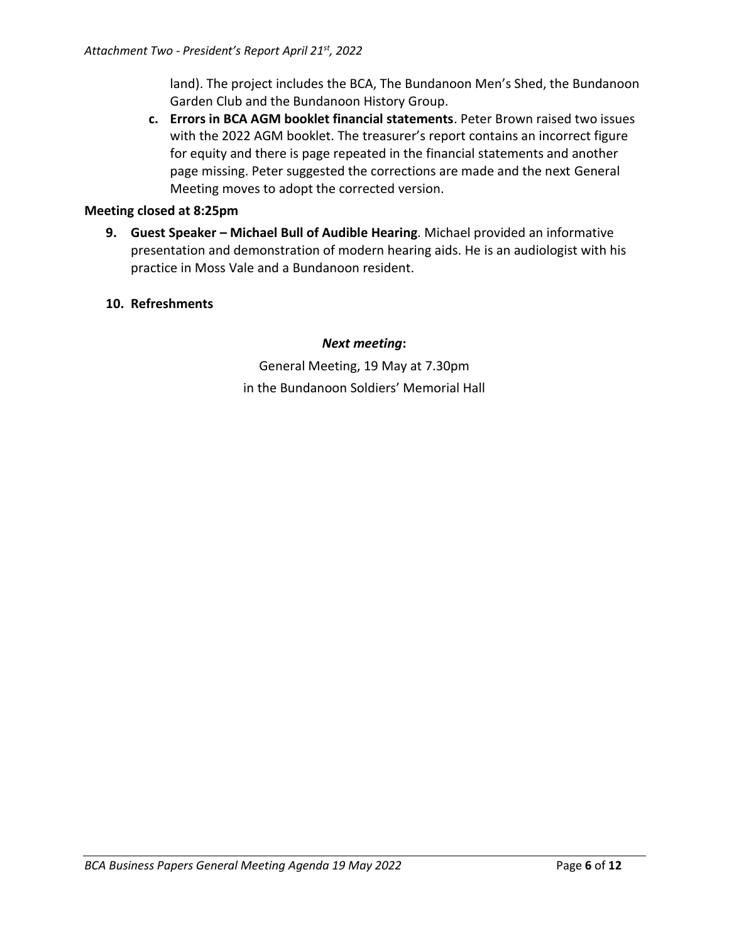land). The project includes the BCA, The Bundanoon Men's Shed, the Bundanoon Garden Club and the Bundanoon History Group.

**c. Errors in BCA AGM booklet financial statements**. Peter Brown raised two issues with the 2022 AGM booklet. The treasurer's report contains an incorrect figure for equity and there is page repeated in the financial statements and another page missing. Peter suggested the corrections are made and the next General Meeting moves to adopt the corrected version.

#### **Meeting closed at 8:25pm**

- **9. Guest Speaker – Michael Bull of Audible Hearing**. Michael provided an informative presentation and demonstration of modern hearing aids. He is an audiologist with his practice in Moss Vale and a Bundanoon resident.
- **10. Refreshments**

#### *Next meeting***:**

General Meeting, 19 May at 7.30pm in the Bundanoon Soldiers' Memorial Hall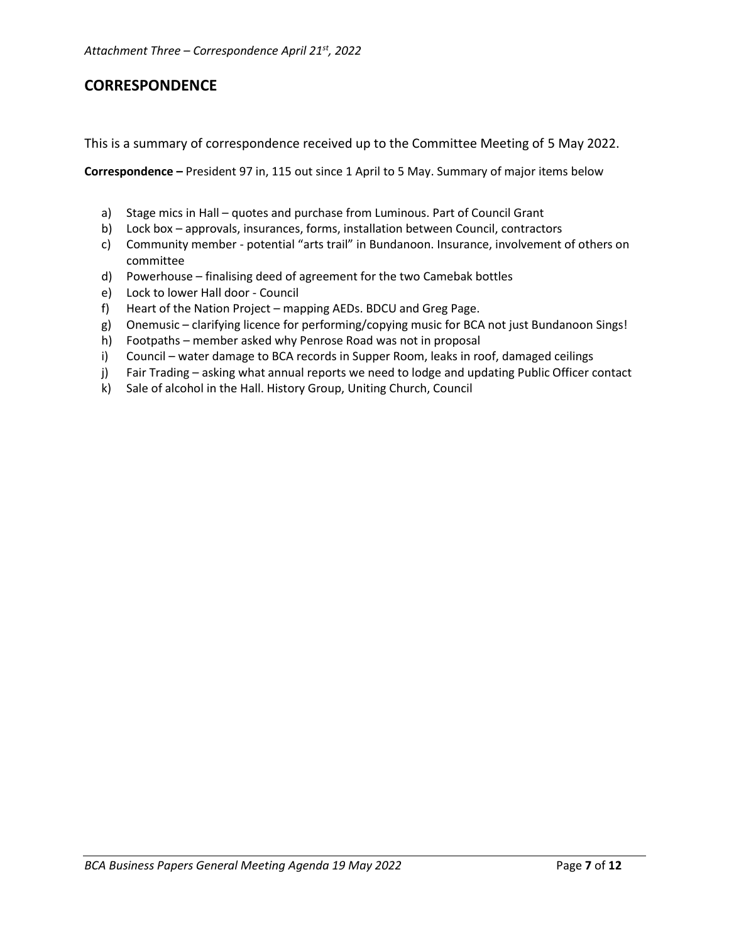# **CORRESPONDENCE**

This is a summary of correspondence received up to the Committee Meeting of 5 May 2022.

**Correspondence –** President 97 in, 115 out since 1 April to 5 May. Summary of major items below

- a) Stage mics in Hall quotes and purchase from Luminous. Part of Council Grant
- b) Lock box approvals, insurances, forms, installation between Council, contractors
- c) Community member potential "arts trail" in Bundanoon. Insurance, involvement of others on committee
- d) Powerhouse finalising deed of agreement for the two Camebak bottles
- e) Lock to lower Hall door Council
- f) Heart of the Nation Project mapping AEDs. BDCU and Greg Page.
- g) Onemusic clarifying licence for performing/copying music for BCA not just Bundanoon Sings!
- h) Footpaths member asked why Penrose Road was not in proposal
- i) Council water damage to BCA records in Supper Room, leaks in roof, damaged ceilings
- j) Fair Trading asking what annual reports we need to lodge and updating Public Officer contact
- k) Sale of alcohol in the Hall. History Group, Uniting Church, Council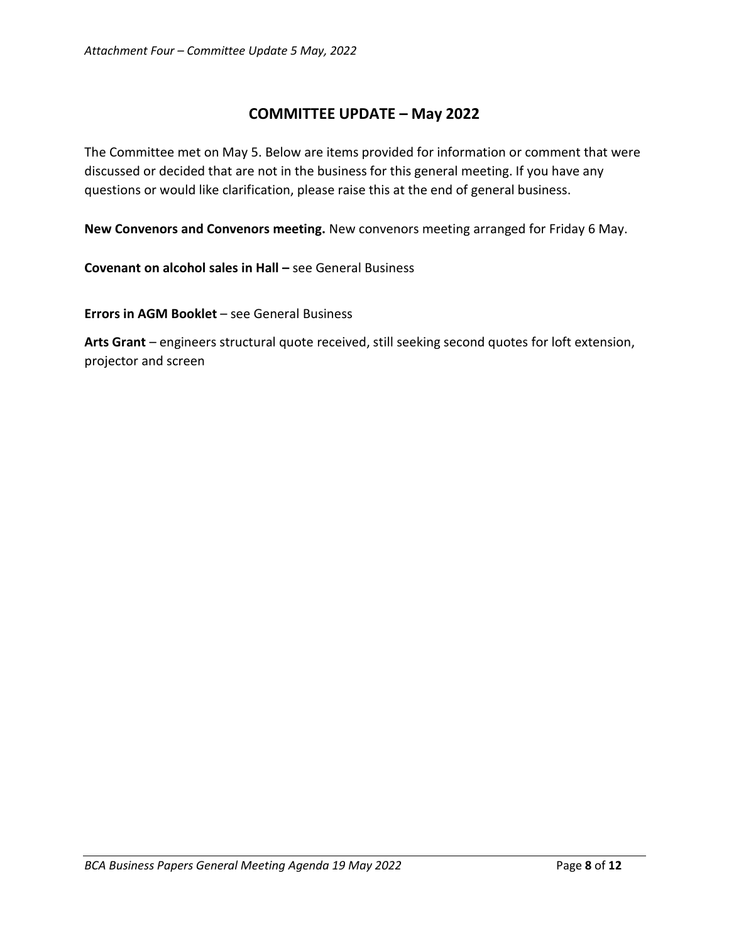# **COMMITTEE UPDATE – May 2022**

The Committee met on May 5. Below are items provided for information or comment that were discussed or decided that are not in the business for this general meeting. If you have any questions or would like clarification, please raise this at the end of general business.

**New Convenors and Convenors meeting.** New convenors meeting arranged for Friday 6 May.

**Covenant on alcohol sales in Hall –** see General Business

**Errors in AGM Booklet** – see General Business

**Arts Grant** – engineers structural quote received, still seeking second quotes for loft extension, projector and screen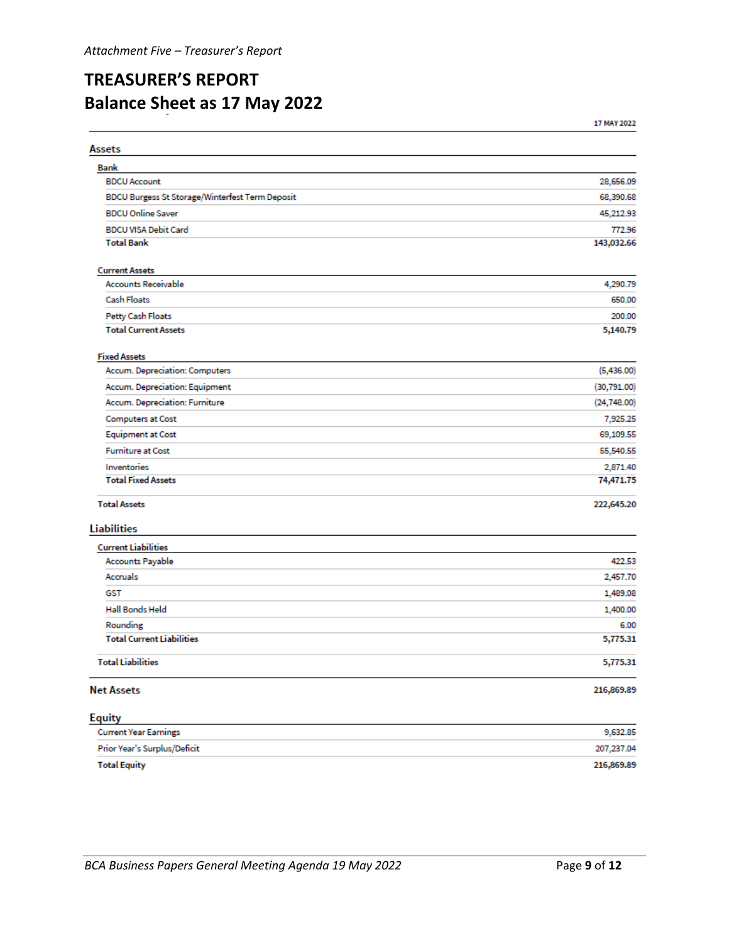# **TREASURER'S REPORT Balance Sheet as 17 May 2022**

17 MAY 2022

| Assets                                          |              |
|-------------------------------------------------|--------------|
| <b>Bank</b>                                     |              |
| <b>BDCU Account</b>                             | 28,656.09    |
| BDCU Burgess St Storage/Winterfest Term Deposit | 68,390.68    |
| <b>BDCU Online Saver</b>                        | 45,212.93    |
| <b>BDCU VISA Debit Card</b>                     | 772.96       |
| <b>Total Bank</b>                               | 143,032.66   |
| <b>Current Assets</b>                           |              |
| <b>Accounts Receivable</b>                      | 4,290.79     |
| <b>Cash Floats</b>                              | 650.00       |
| Petty Cash Floats                               | 200.00       |
| <b>Total Current Assets</b>                     | 5,140.79     |
| <b>Fixed Assets</b>                             |              |
| Accum. Depreciation: Computers                  | (5,436.00)   |
| Accum. Depreciation: Equipment                  | (30, 791.00) |
| Accum. Depreciation: Furniture                  | (24, 748.00) |
| <b>Computers at Cost</b>                        | 7,925.25     |
| <b>Equipment at Cost</b>                        | 69,109.55    |
| <b>Furniture at Cost</b>                        | 55,540.55    |
| Inventories                                     | 2,871.40     |
| <b>Total Fixed Assets</b>                       | 74,471.75    |
| <b>Total Assets</b>                             | 222,645.20   |
| <b>Liabilities</b>                              |              |
| <b>Current Liabilities</b>                      |              |
| Accounts Payable                                | 422.53       |
| Accruals                                        | 2,457.70     |
| <b>GST</b>                                      | 1,489.08     |
| Hall Bonds Held                                 | 1,400.00     |
| Rounding                                        | 6.00         |
| <b>Total Current Liabilities</b>                | 5,775.31     |
| <b>Total Liabilities</b>                        | 5,775.31     |
| <b>Net Assets</b>                               | 216,869.89   |
| <b>Equity</b>                                   |              |
| <b>Current Year Earnings</b>                    | 9,632.85     |
| Prior Year's Surplus/Deficit                    | 207,237.04   |
| <b>Total Equity</b>                             | 216,869.89   |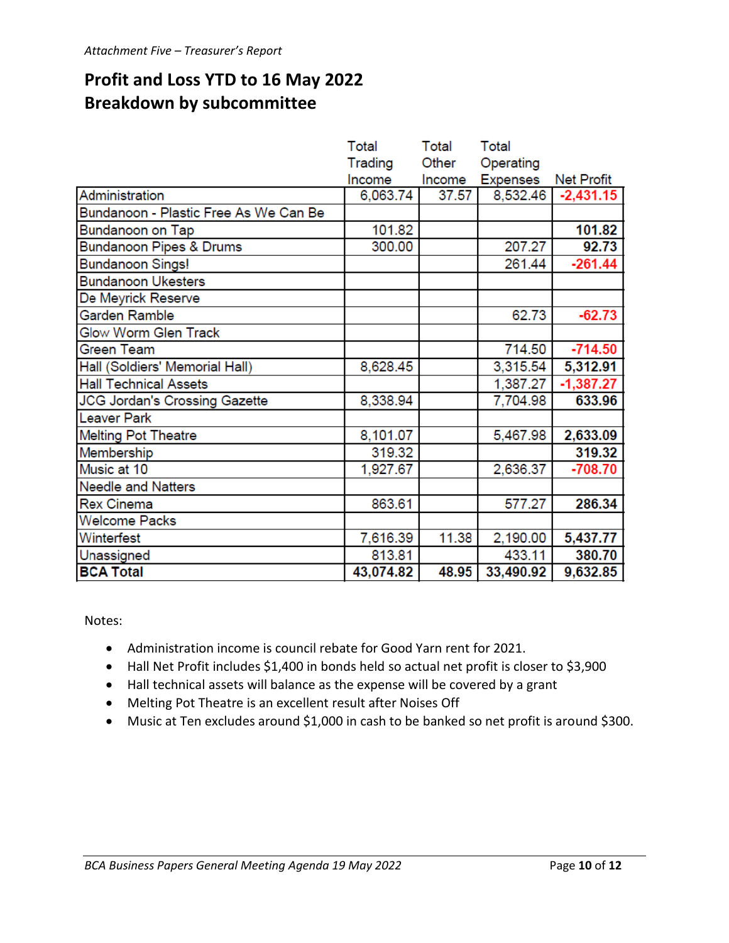# **Profit and Loss YTD to 16 May 2022 Breakdown by subcommittee**

|                                       | Total     | Total  | Total           |                   |
|---------------------------------------|-----------|--------|-----------------|-------------------|
|                                       | Trading   | Other  | Operating       |                   |
|                                       | Income    | Income | <b>Expenses</b> | <b>Net Profit</b> |
| Administration                        | 6,063.74  | 37.57  | 8,532.46        | $-2,431.15$       |
| Bundanoon - Plastic Free As We Can Be |           |        |                 |                   |
| Bundanoon on Tap                      | 101.82    |        |                 | 101.82            |
| <b>Bundanoon Pipes &amp; Drums</b>    | 300.00    |        | 207.27          | 92.73             |
| <b>Bundanoon Sings!</b>               |           |        | 261.44          | $-261.44$         |
| <b>Bundanoon Ukesters</b>             |           |        |                 |                   |
| De Meyrick Reserve                    |           |        |                 |                   |
| Garden Ramble                         |           |        | 62.73           | $-62.73$          |
| <b>Glow Worm Glen Track</b>           |           |        |                 |                   |
| Green Team                            |           |        | 714.50          | $-714.50$         |
| Hall (Soldiers' Memorial Hall)        | 8,628.45  |        | 3,315.54        | 5,312.91          |
| <b>Hall Technical Assets</b>          |           |        | 1,387.27        | $-1,387.27$       |
| <b>JCG Jordan's Crossing Gazette</b>  | 8,338.94  |        | 7,704.98        | 633.96            |
| <b>Leaver Park</b>                    |           |        |                 |                   |
| <b>Melting Pot Theatre</b>            | 8,101.07  |        | 5,467.98        | 2,633.09          |
| Membership                            | 319.32    |        |                 | 319.32            |
| Music at 10                           | 1,927.67  |        | 2,636.37        | $-708.70$         |
| <b>Needle and Natters</b>             |           |        |                 |                   |
| <b>Rex Cinema</b>                     | 863.61    |        | 577.27          | 286.34            |
| <b>Welcome Packs</b>                  |           |        |                 |                   |
| Winterfest                            | 7,616.39  | 11.38  | 2,190.00        | 5,437.77          |
| Unassigned                            | 813.81    |        | 433.11          | 380.70            |
| <b>BCA Total</b>                      | 43,074.82 | 48.95  | 33,490.92       | 9,632.85          |

Notes:

- Administration income is council rebate for Good Yarn rent for 2021.
- Hall Net Profit includes \$1,400 in bonds held so actual net profit is closer to \$3,900
- Hall technical assets will balance as the expense will be covered by a grant
- Melting Pot Theatre is an excellent result after Noises Off
- Music at Ten excludes around \$1,000 in cash to be banked so net profit is around \$300.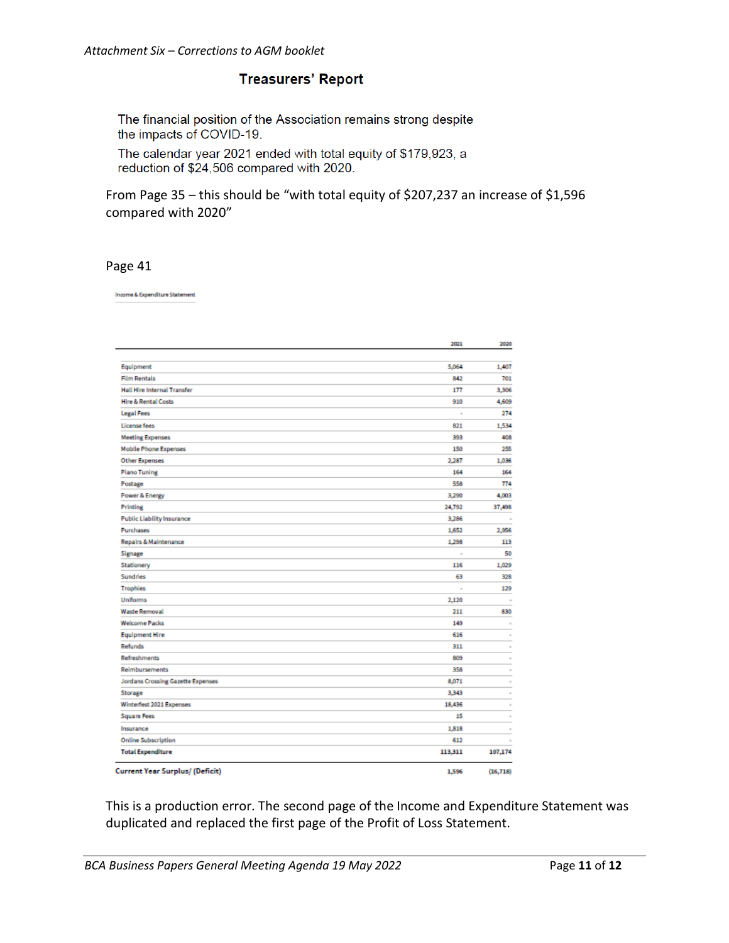#### **Treasurers' Report**

The financial position of the Association remains strong despite the impacts of COVID-19.

The calendar year 2021 ended with total equity of \$179,923, a reduction of \$24,506 compared with 2020.

From Page 35 – this should be "with total equity of \$207,237 an increase of \$1,596 compared with 2020"

#### Page 41

Income & Expenditure Statement

|                                        | 2021     | 2020     |
|----------------------------------------|----------|----------|
|                                        |          |          |
| Equipment                              | 5,064    | 1,407    |
| <b>Film Rentals</b>                    | 842      | 701      |
| <b>Hall Hire Internal Transfer</b>     | 177      | 3,306    |
| <b>Hire &amp; Rental Costs</b>         | 910      | 4,609    |
| <b>Legal Fees</b>                      | ×,       | 274      |
| License fees                           | 821      | 1,534    |
| <b>Meeting Expenses</b>                | 393      | 408      |
| <b>Mobile Phone Expenses</b>           | 150      | 255      |
| <b>Other Expenses</b>                  | 2,287    | 1,036    |
| <b>Plano Tuning</b>                    | 164      | 164      |
| Postage                                | 558      | 774      |
| <b>Power &amp; Energy</b>              | 3,290    | 4,003    |
| <b>Printing</b>                        | 24,792   | 37,498   |
| <b>Public Liability Insurance</b>      | 3,286    |          |
| Purchases                              | 1,652    | 2,956    |
| <b>Repairs &amp; Maintenance</b>       | 1,298    | 113      |
| Signage                                | $\alpha$ | 50       |
| Stationery                             | 116      | 1,029    |
| <b>Sundries</b>                        | 63       | 328      |
| <b>Trophies</b>                        | ×,       | 129      |
| <b>Uniforms</b>                        | 2,120    | $\alpha$ |
| <b>Waste Removal</b>                   | 211      | 830      |
| <b>Welcome Packs</b>                   | 149      |          |
| <b>Equipment Hire</b>                  | 616      |          |
| <b>Refunds</b>                         | 311      |          |
| <b>Refreshments</b>                    | 809      |          |
| Reimbursements                         | 358      |          |
| Jordans Crossing Gazette Expenses      | 8,071    |          |
| Storage                                | 3,343    |          |
| Winterfest 2021 Expenses               | 18,436   |          |
| <b>Square Fees</b>                     | 15       |          |
| Insurance                              | 1,818    |          |
| <b>Online Subscription</b>             | 612      |          |
| <b>Total Expenditure</b>               | 113,311  | 107,174  |
| <b>Current Year Surplus/ (Deficit)</b> |          |          |

This is a production error. The second page of the Income and Expenditure Statement was duplicated and replaced the first page of the Profit of Loss Statement.